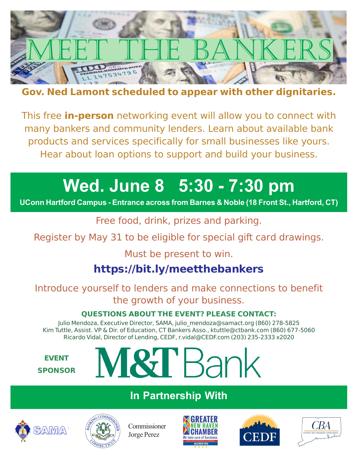

#### **Gov. Ned Lamont scheduled to appear with other dignitaries.**

This free **in-person** networking event will allow you to connect with many bankers and community lenders. Learn about available bank products and services specifically for small businesses like yours. Hear about loan options to support and build your business.

# **Wed. June 8 5:30 - 7:30 pm**

**UConn Hartford Campus - Entrance across from Barnes & Noble (18 Front St., Hartford, CT)**

Free food, drink, prizes and parking.

Register by May 31 to be eligible for special gift card drawings.

Must be present to win.

# **https://bit.ly/meetthebankers**

Introduce yourself to lenders and make connections to benefit the growth of your business.

#### **QUESTIONS ABOUT THE EVENT? PLEASE CONTACT:**

Julio Mendoza, Executive Director, SAMA, julio\_mendoza@samact.org (860) 278-5825 Kim Tuttle, Assist. VP & Dir. of Education, CT Bankers Asso., ktuttle@ctbank.com (860) 677-5060 Ricardo Vidal, Director of Lending, CEDF, r.vidal@CEDF.com (203) 235-2333 x2020

#### **EVENT SPONSOR**

# VI&T Bank

## **In Partnership With**





Commissioner Jorge Perez